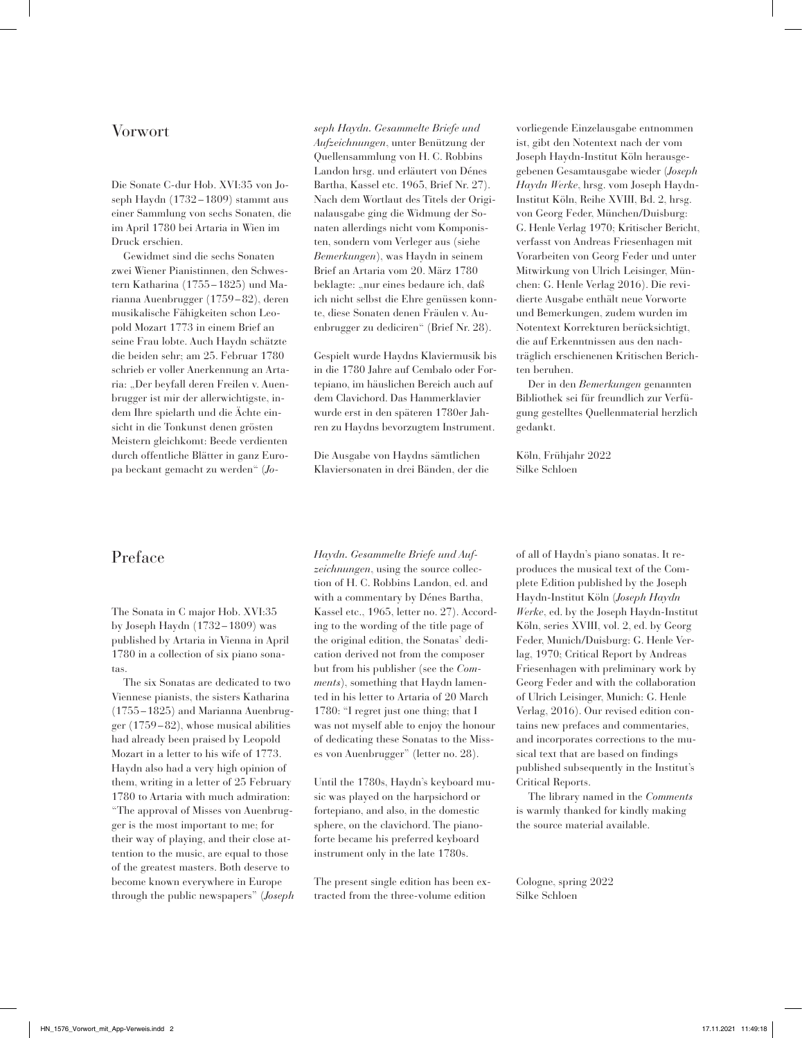## Vorwort

Die Sonate C-dur Hob. XVI:35 von Joseph Haydn (1732– 1809) stammt aus einer Sammlung von sechs Sonaten, die im April 1780 bei Artaria in Wien im Druck erschien.

Gewidmet sind die sechs Sonaten zwei Wiener Pianistinnen, den Schwestern Katharina (1755–1825) und Marianna Auenbrugger (1759–82), deren musikalische Fähigkeiten schon Leopold Mozart 1773 in einem Brief an seine Frau lobte. Auch Haydn schätzte die beiden sehr; am 25. Februar 1780 schrieb er voller Anerkennung an Artaria: "Der beyfall deren Freilen v. Auenbrugger ist mir der allerwichtigste, indem Ihre spielarth und die Ächte einsicht in die Tonkunst denen grösten Meistern gleichkomt: Beede verdienten durch offentliche Blätter in ganz Europa beckant gemacht zu werden" (*Jo-*

*seph Haydn. Gesammelte Briefe und Aufzeichnungen*, unter Benützung der Quellensammlung von H. C. Robbins Landon hrsg. und erläutert von Dénes Bartha, Kassel etc. 1965, Brief Nr. 27). Nach dem Wortlaut des Titels der Originalausgabe ging die Widmung der Sonaten allerdings nicht vom Komponisten, sondern vom Verleger aus (siehe *Bemerkungen*), was Haydn in seinem Brief an Artaria vom 20. März 1780 beklagte: "nur eines bedaure ich, daß ich nicht selbst die Ehre genüssen konnte, diese Sonaten denen Fräulen v. Auenbrugger zu dediciren" (Brief Nr. 28).

Gespielt wurde Haydns Klaviermusik bis in die 1780 Jahre auf Cembalo oder Fortepiano, im häuslichen Bereich auch auf dem Clavichord. Das Hammerklavier wurde erst in den späteren 1780er Jahren zu Haydns bevorzugtem Instrument.

Die Ausgabe von Haydns sämtlichen Klaviersonaten in drei Bänden, der die vorliegende Einzelausgabe entnommen ist, gibt den Notentext nach der vom Joseph Haydn-Institut Köln herausgegebenen Gesamtausgabe wieder (*Joseph Haydn Werke*, hrsg. vom Joseph Haydn-Institut Köln, Reihe XVIII, Bd. 2, hrsg. von Georg Feder, München/Duisburg: G. Henle Verlag 1970; Kritischer Bericht, verfasst von Andreas Friesenhagen mit Vorarbeiten von Georg Feder und unter Mitwirkung von Ulrich Leisinger, München: G. Henle Verlag 2016). Die revidierte Ausgabe enthält neue Vorworte und Bemerkungen, zudem wurden im Notentext Korrekturen berücksichtigt, die auf Erkenntnissen aus den nachträglich erschienenen Kritischen Berichten beruhen.

Der in den *Bemerkungen* genannten Bibliothek sei für freundlich zur Verfügung gestelltes Quellenmaterial herzlich gedankt.

Köln, Frühjahr 2022 Silke Schloen

## Preface

The Sonata in C major Hob. XVI:35 by Joseph Haydn (1732– 1809) was published by Artaria in Vienna in April 1780 in a collection of six piano sonatas.

The six Sonatas are dedicated to two Viennese pianists, the sisters Katharina (1755–1825) and Marianna Auenbrugger (1759–82), whose musical abilities had already been praised by Leopold Mozart in a letter to his wife of 1773. Haydn also had a very high opinion of them, writing in a letter of 25 February 1780 to Artaria with much admiration: "The approval of Misses von Auenbrugger is the most important to me; for their way of playing, and their close attention to the music, are equal to those of the greatest masters. Both deserve to become known everywhere in Europe through the public newspapers" (*Joseph*  *Haydn. Gesammelte Briefe und Aufzeichnungen*, using the source collection of H. C. Robbins Landon, ed. and with a commentary by Dénes Bartha, Kassel etc., 1965, letter no. 27). According to the wording of the title page of the original edition, the Sonatas' dedication derived not from the composer but from his publisher (see the *Comments*), something that Haydn lamented in his letter to Artaria of 20 March 1780: "I regret just one thing; that I was not myself able to enjoy the honour of dedicating these Sonatas to the Misses von Auenbrugger" (letter no. 28).

Until the 1780s, Haydn's keyboard music was played on the harpsichord or fortepiano, and also, in the domestic sphere, on the clavichord. The pianoforte became his preferred keyboard instrument only in the late 1780s.

The present single edition has been extracted from the three-volume edition

of all of Haydn's piano sonatas. It reproduces the musical text of the Complete Edition published by the Joseph Haydn-Institut Köln (*Joseph Haydn Werke*, ed. by the Joseph Haydn-Institut Köln, series XVIII, vol. 2, ed. by Georg Feder, Munich/Duisburg: G. Henle Verlag, 1970; Critical Report by Andreas Friesenhagen with preliminary work by Georg Feder and with the collaboration of Ulrich Leisinger, Munich: G. Henle Verlag, 2016). Our revised edition contains new prefaces and commentaries, and incorporates corrections to the musical text that are based on findings published subsequently in the Institut's Critical Reports.

The library named in the *Comments*  is warmly thanked for kindly making the source material available.

Cologne, spring 2022 Silke Schloen